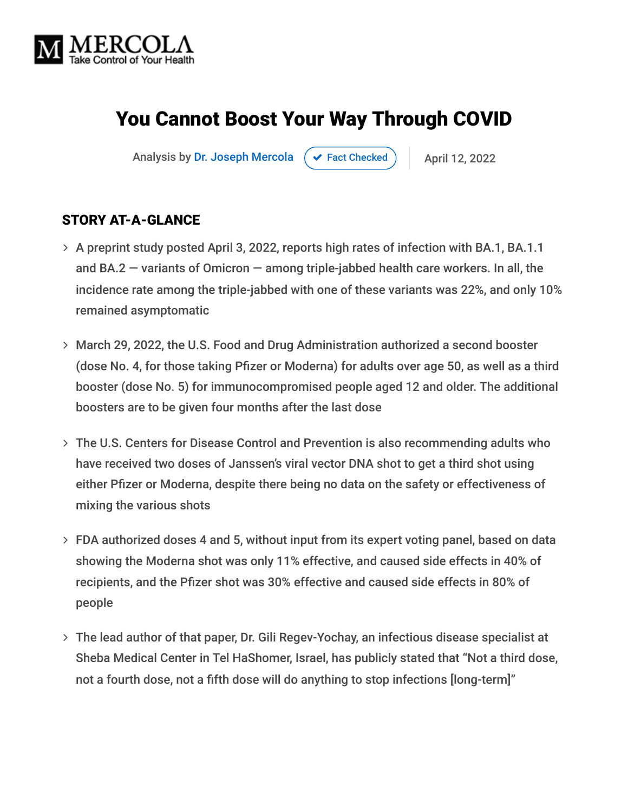

# You Cannot Boost Your Way Through COVID

Analysis by [Dr. Joseph Mercola](https://www.mercola.com/forms/background.htm)  $\left( \right. \left. \left. \right. \right. \left. \left. \right. \left. \right. \left. \right. \left. \left. \right. \left. \right. \left. \right. \left. \right. \left. \left. \right. \right. \left. \left. \right. \right. \left. \left. \left. \right. \right. \left. \left. \left. \right. \right. \left. \left. \right. \right. \left. \left. \right. \right. \left. \left. \left. \right. \right. \left. \left. \right. \right. \right. \left. \left. \left. \right. \right.$ 

#### STORY AT-A-GLANCE

- > A preprint study posted April 3, 2022, reports high rates of infection with BA.1, BA.1.1 and BA.2 — variants of Omicron — among triple-jabbed health care workers. In all, the incidence rate among the triple-jabbed with one of these variants was 22%, and only 10% remained asymptomatic
- March 29, 2022, the U.S. Food and Drug Administration authorized a second booster (dose No. 4, for those taking Pfizer or Moderna) for adults over age 50, as well as a third booster (dose No. 5) for immunocompromised people aged 12 and older. The additional boosters are to be given four months after the last dose
- The U.S. Centers for Disease Control and Prevention is also recommending adults who have received two doses of Janssen's viral vector DNA shot to get a third shot using either Pfizer or Moderna, despite there being no data on the safety or effectiveness of mixing the various shots
- FDA authorized doses 4 and 5, without input from its expert voting panel, based on data showing the Moderna shot was only 11% effective, and caused side effects in 40% of recipients, and the Pfizer shot was 30% effective and caused side effects in 80% of people
- The lead author of that paper, Dr. Gili Regev-Yochay, an infectious disease specialist at Sheba Medical Center in Tel HaShomer, Israel, has publicly stated that "Not a third dose, not a fourth dose, not a fifth dose will do anything to stop infections [long-term]"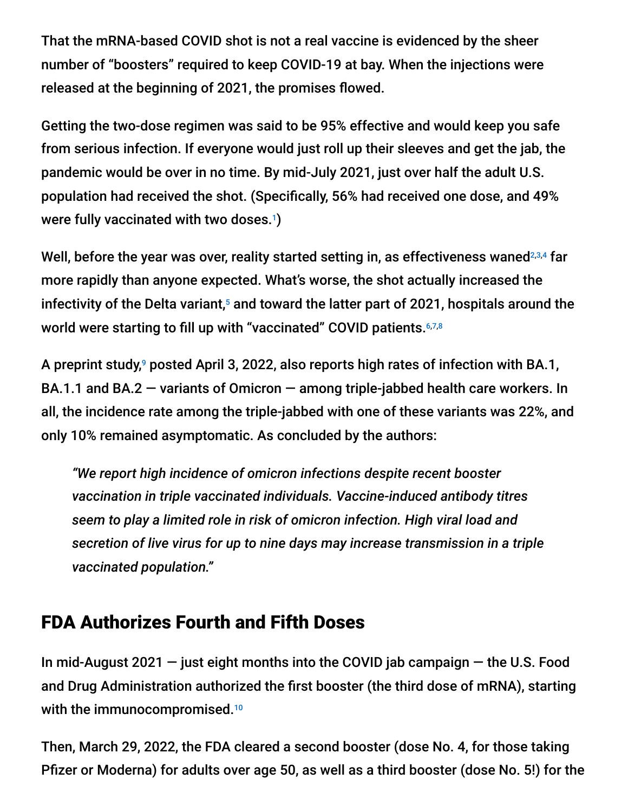That the mRNA-based COVID shot is not a real vaccine is evidenced by the sheer number of "boosters" required to keep COVID-19 at bay. When the injections were released at the beginning of 2021, the promises flowed.

Getting the two-dose regimen was said to be 95% effective and would keep you safe from serious infection. If everyone would just roll up their sleeves and get the jab, the pandemic would be over in no time. By mid-July 2021, just over half the adult U.S. population had received the shot. (Specifically, 56% had received one dose, and 49% were fully vaccinated with two doses.<sup>1</sup>)

Well, before the year was over, reality started setting in, as effectiveness waned $^{2,3,4}$  far more rapidly than anyone expected. What's worse, the shot actually increased the infectivity of the Delta variant, $^5$  and toward the latter part of 2021, hospitals around the world were starting to fill up with "vaccinated" COVID patients. 6,7,8

A preprint study,<sup>9</sup> posted April 3, 2022, also reports high rates of infection with BA.1, BA.1.1 and BA.2  $-$  variants of Omicron  $-$  among triple-jabbed health care workers. In all, the incidence rate among the triple-jabbed with one of these variants was 22%, and only 10% remained asymptomatic. As concluded by the authors:

*"We report high incidence of omicron infections despite recent booster vaccination in triple vaccinated individuals. Vaccine-induced antibody titres seem to play a limited role in risk of omicron infection. High viral load and secretion of live virus for up to nine days may increase transmission in a triple vaccinated population."*

#### FDA Authorizes Fourth and Fifth Doses

In mid-August 2021 — just eight months into the COVID jab campaign — the U.S. Food and Drug Administration authorized the first booster (the third dose of mRNA), starting with the immunocompromised.<sup>10</sup>

Then, March 29, 2022, the FDA cleared a second booster (dose No. 4, for those taking Pfizer or Moderna) for adults over age 50, as well as a third booster (dose No. 5!) for the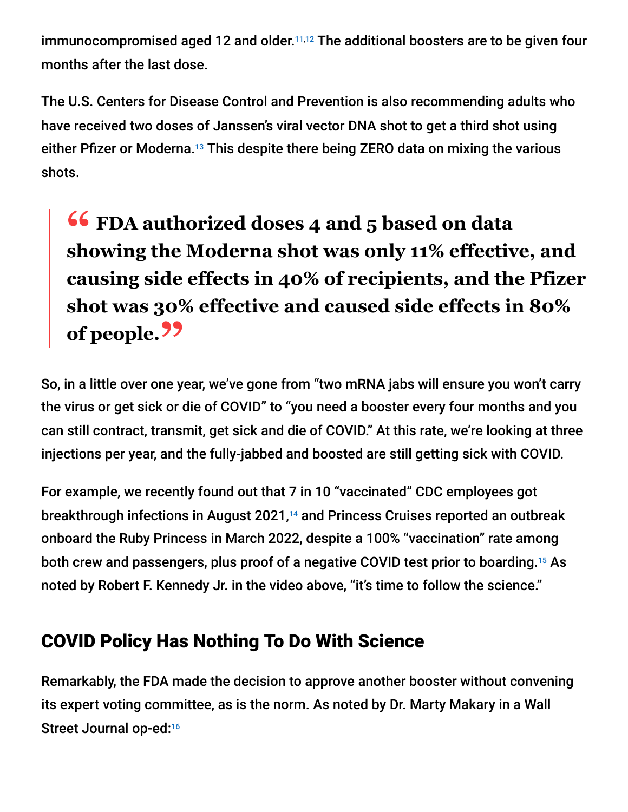immunocompromised aged 12 and older. $11,12}$  The additional boosters are to be given four months after the last dose.

The U.S. Centers for Disease Control and Prevention is also recommending adults who have received two doses of Janssen's viral vector DNA shot to get a third shot using either Pfizer or Moderna.<sup>13</sup> This despite there being ZERO data on mixing the various shots.

# **<sup>66</sup>** FDA authorized doses 4 and 5 based on data<br>showing the Moderna shot was only 11% effective **showing the Moderna shot was only 11% effective, and causing side effects in 40% of recipients, and the Pfizer shot was 30% effective and caused side effects in 80% of people."**

So, in a little over one year, we've gone from "two mRNA jabs will ensure you won't carry the virus or get sick or die of COVID" to "you need a booster every four months and you can still contract, transmit, get sick and die of COVID." At this rate, we're looking at three injections per year, and the fully-jabbed and boosted are still getting sick with COVID.

For example, we recently found out that 7 in 10 "vaccinated" CDC employees got breakthrough infections in August 2021,<sup>14</sup> and Princess Cruises reported an outbreak onboard the Ruby Princess in March 2022, despite a 100% "vaccination" rate among both crew and passengers, plus proof of a negative COVID test prior to boarding.<sup>15</sup> As noted by Robert F. Kennedy Jr. in the video above, "it's time to follow the science."

## COVID Policy Has Nothing To Do With Science

Remarkably, the FDA made the decision to approve another booster without convening its expert voting committee, as is the norm. As noted by Dr. Marty Makary in a Wall Street Journal op-ed:<sup>16</sup>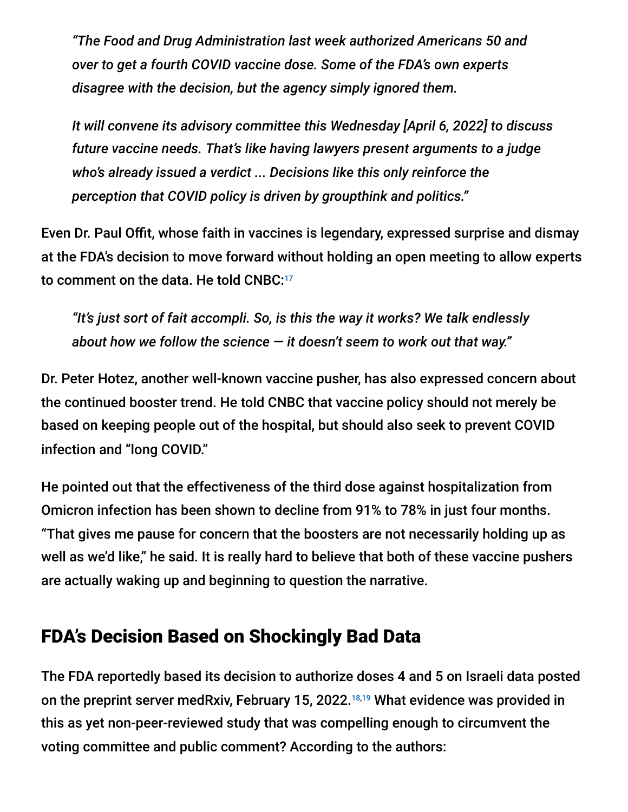*"The Food and Drug Administration last week authorized Americans 50 and over to get a fourth COVID vaccine dose. Some of the FDA's own experts disagree with the decision, but the agency simply ignored them.*

*It will convene its advisory committee this Wednesday [April 6, 2022] to discuss future vaccine needs. That's like having lawyers present arguments to a judge who's already issued a verdict ... Decisions like this only reinforce the perception that COVID policy is driven by groupthink and politics."*

Even Dr. Paul Offit, whose faith in vaccines is legendary, expressed surprise and dismay at the FDA's decision to move forward without holding an open meeting to allow experts to comment on the data. He told CNBC: 17

*"It's just sort of fait accompli. So, is this the way it works? We talk endlessly about how we follow the science — it doesn't seem to work out that way."*

Dr. Peter Hotez, another well-known vaccine pusher, has also expressed concern about the continued booster trend. He told CNBC that vaccine policy should not merely be based on keeping people out of the hospital, but should also seek to prevent COVID infection and "long COVID."

He pointed out that the effectiveness of the third dose against hospitalization from Omicron infection has been shown to decline from 91% to 78% in just four months. "That gives me pause for concern that the boosters are not necessarily holding up as well as we'd like," he said. It is really hard to believe that both of these vaccine pushers are actually waking up and beginning to question the narrative.

#### FDA's Decision Based on Shockingly Bad Data

The FDA reportedly based its decision to authorize doses 4 and 5 on Israeli data posted on the preprint server medRxiv, February 15, 2022.<sup>18,19</sup> What evidence was provided in this as yet non-peer-reviewed study that was compelling enough to circumvent the voting committee and public comment? According to the authors: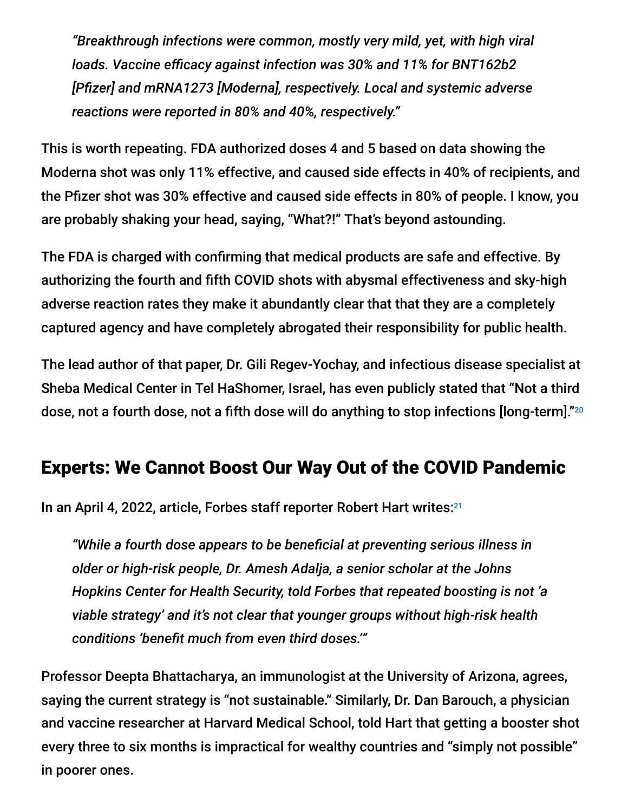*"Breakthrough infections were common, mostly very mild, yet, with high viral loads. Vaccine efficacy against infection was 30% and 11% for BNT162b2 [Pfizer] and mRNA1273 [Moderna], respectively. Local and systemic adverse reactions were reported in 80% and 40%, respectively."*

This is worth repeating. FDA authorized doses 4 and 5 based on data showing the Moderna shot was only 11% effective, and caused side effects in 40% of recipients, and the Pfizer shot was 30% effective and caused side effects in 80% of people. I know, you are probably shaking your head, saying, "What?!" That's beyond astounding.

The FDA is charged with confirming that medical products are safe and effective. By authorizing the fourth and fifth COVID shots with abysmal effectiveness and sky-high adverse reaction rates they make it abundantly clear that that they are a completely captured agency and have completely abrogated their responsibility for public health.

The lead author of that paper, Dr. Gili Regev-Yochay, and infectious disease specialist at Sheba Medical Center in Tel HaShomer, Israel, has even publicly stated that "Not a third dose, not a fourth dose, not a fifth dose will do anything to stop infections [long-term]." 20

## Experts: We Cannot Boost Our Way Out of the COVID Pandemic

In an April 4, 2022, article, Forbes staff reporter Robert Hart writes: 21

*"While a fourth dose appears to be beneficial at preventing serious illness in older or high-risk people, Dr. Amesh Adalja, a senior scholar at the Johns Hopkins Center for Health Security, told Forbes that repeated boosting is not 'a viable strategy' and it's not clear that younger groups without high-risk health conditions 'benefit much from even third doses.'"*

Professor Deepta Bhattacharya, an immunologist at the University of Arizona, agrees, saying the current strategy is "not sustainable." Similarly, Dr. Dan Barouch, a physician and vaccine researcher at Harvard Medical School, told Hart that getting a booster shot every three to six months is impractical for wealthy countries and "simply not possible" in poorer ones.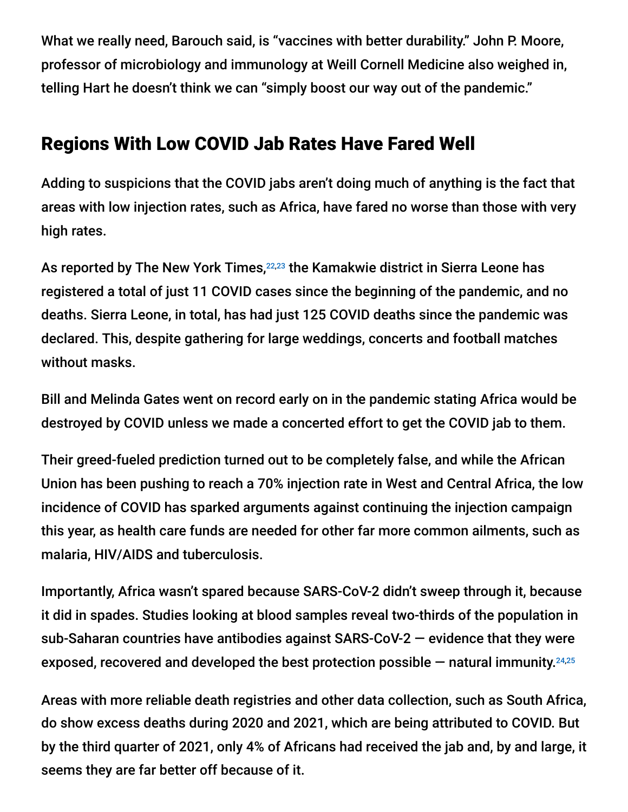What we really need, Barouch said, is "vaccines with better durability." John P. Moore, professor of microbiology and immunology at Weill Cornell Medicine also weighed in, telling Hart he doesn't think we can "simply boost our way out of the pandemic."

## Regions With Low COVID Jab Rates Have Fared Well

Adding to suspicions that the COVID jabs aren't doing much of anything is the fact that areas with low injection rates, such as Africa, have fared no worse than those with very high rates.

As reported by The New York Times,<sup>22,23</sup> the Kamakwie district in Sierra Leone has registered a total of just 11 COVID cases since the beginning of the pandemic, and no deaths. Sierra Leone, in total, has had just 125 COVID deaths since the pandemic was declared. This, despite gathering for large weddings, concerts and football matches without masks.

Bill and Melinda Gates went on record early on in the pandemic stating Africa would be destroyed by COVID unless we made a concerted effort to get the COVID jab to them.

Their greed-fueled prediction turned out to be completely false, and while the African Union has been pushing to reach a 70% injection rate in West and Central Africa, the low incidence of COVID has sparked arguments against continuing the injection campaign this year, as health care funds are needed for other far more common ailments, such as malaria, HIV/AIDS and tuberculosis.

Importantly, Africa wasn't spared because SARS-CoV-2 didn't sweep through it, because it did in spades. Studies looking at blood samples reveal two-thirds of the population in sub-Saharan countries have antibodies against SARS-CoV-2 — evidence that they were exposed, recovered and developed the best protection possible — natural immunity. 24,25

Areas with more reliable death registries and other data collection, such as South Africa, do show excess deaths during 2020 and 2021, which are being attributed to COVID. But by the third quarter of 2021, only 4% of Africans had received the jab and, by and large, it seems they are far better off because of it.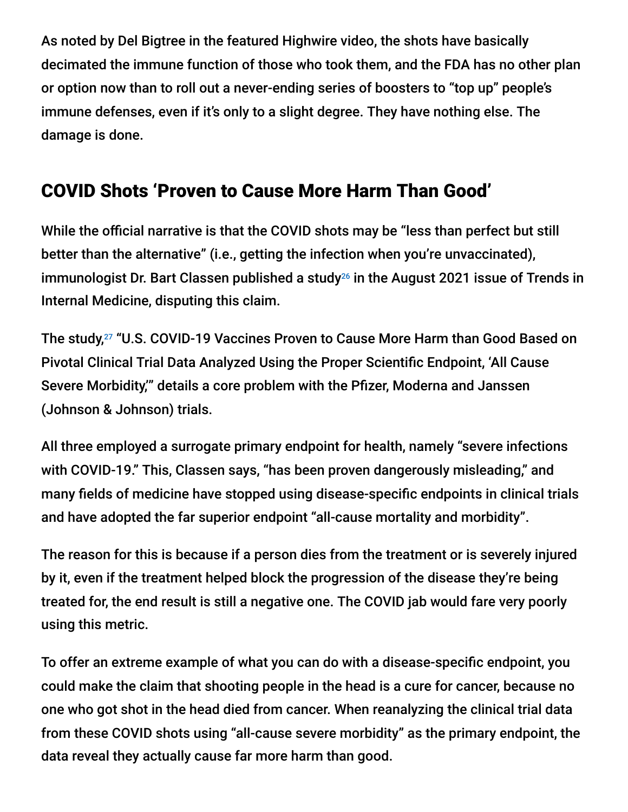As noted by Del Bigtree in the featured Highwire video, the shots have basically decimated the immune function of those who took them, and the FDA has no other plan or option now than to roll out a never-ending series of boosters to "top up" people's immune defenses, even if it's only to a slight degree. They have nothing else. The damage is done.

## COVID Shots 'Proven to Cause More Harm Than Good'

While the official narrative is that the COVID shots may be "less than perfect but still better than the alternative" (i.e., getting the infection when you're unvaccinated), immunologist Dr. Bart Classen published a study $^{26}$  in the August 2021 issue of Trends in Internal Medicine, disputing this claim.

The study,<sup>27</sup> "U.S. COVID-19 Vaccines Proven to Cause More Harm than Good Based on Pivotal Clinical Trial Data Analyzed Using the Proper Scientific Endpoint, 'All Cause Severe Morbidity,'" details a core problem with the Pfizer, Moderna and Janssen (Johnson & Johnson) trials.

All three employed a surrogate primary endpoint for health, namely "severe infections with COVID-19." This, Classen says, "has been proven dangerously misleading," and many fields of medicine have stopped using disease-specific endpoints in clinical trials and have adopted the far superior endpoint "all-cause mortality and morbidity".

The reason for this is because if a person dies from the treatment or is severely injured by it, even if the treatment helped block the progression of the disease they're being treated for, the end result is still a negative one. The COVID jab would fare very poorly using this metric.

To offer an extreme example of what you can do with a disease-specific endpoint, you could make the claim that shooting people in the head is a cure for cancer, because no one who got shot in the head died from cancer. When reanalyzing the clinical trial data from these COVID shots using "all-cause severe morbidity" as the primary endpoint, the data reveal they actually cause far more harm than good.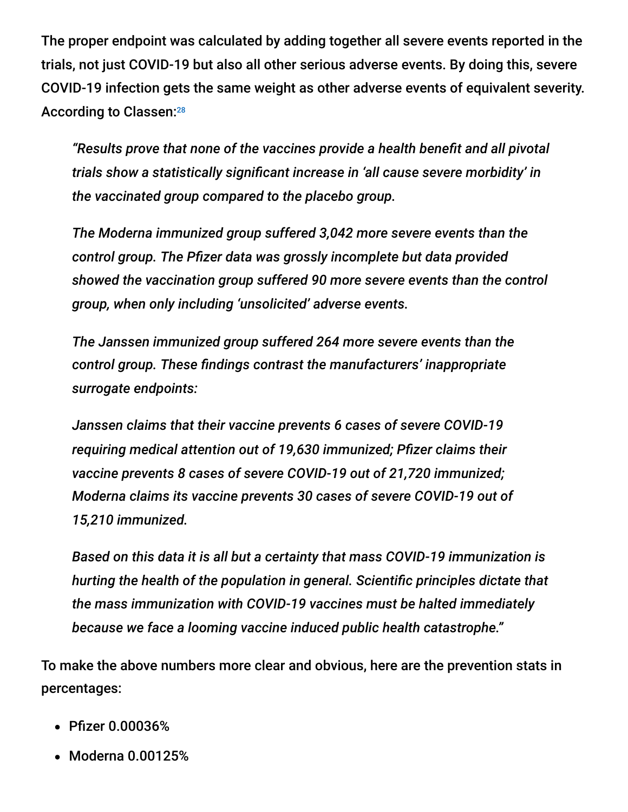The proper endpoint was calculated by adding together all severe events reported in the trials, not just COVID-19 but also all other serious adverse events. By doing this, severe COVID-19 infection gets the same weight as other adverse events of equivalent severity. According to Classen:<sup>28</sup>

*"Results prove that none of the vaccines provide a health benefit and all pivotal trials show a statistically significant increase in 'all cause severe morbidity' in the vaccinated group compared to the placebo group.*

*The Moderna immunized group suffered 3,042 more severe events than the control group. The Pfizer data was grossly incomplete but data provided showed the vaccination group suffered 90 more severe events than the control group, when only including 'unsolicited' adverse events.*

*The Janssen immunized group suffered 264 more severe events than the control group. These findings contrast the manufacturers' inappropriate surrogate endpoints:*

*Janssen claims that their vaccine prevents 6 cases of severe COVID-19 requiring medical attention out of 19,630 immunized; Pfizer claims their vaccine prevents 8 cases of severe COVID-19 out of 21,720 immunized; Moderna claims its vaccine prevents 30 cases of severe COVID-19 out of 15,210 immunized.*

*Based on this data it is all but a certainty that mass COVID-19 immunization is hurting the health of the population in general. Scientific principles dictate that the mass immunization with COVID-19 vaccines must be halted immediately because we face a looming vaccine induced public health catastrophe."*

To make the above numbers more clear and obvious, here are the prevention stats in percentages:

- Pfizer 0.00036%
- Moderna 0.00125%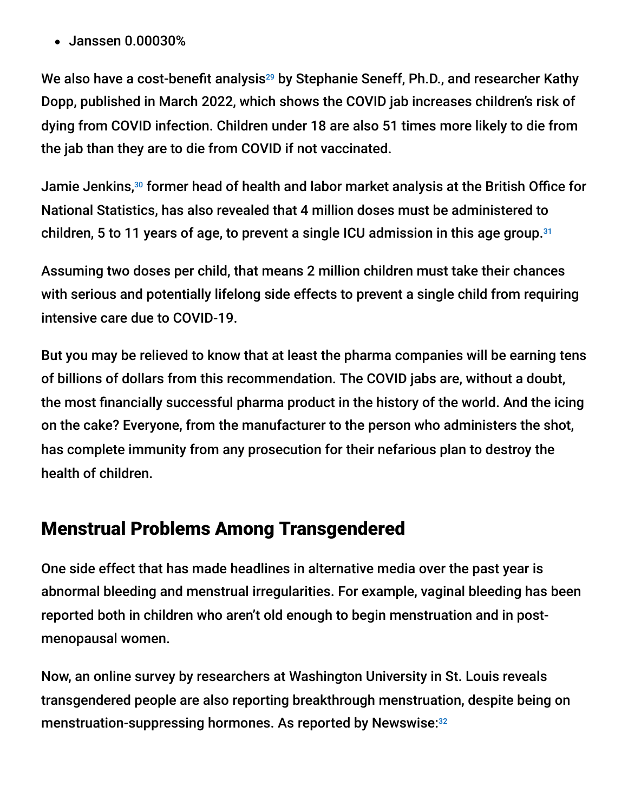Janssen 0.00030%

We also have a cost-benefit analysis $^{29}$  by Stephanie Seneff, Ph.D., and researcher Kathy Dopp, published in March 2022, which shows the COVID jab increases children's risk of dying from COVID infection. Children under 18 are also 51 times more likely to die from the jab than they are to die from COVID if not vaccinated.

Jamie Jenkins,<sup>30</sup> former head of health and labor market analysis at the British Office for National Statistics, has also revealed that 4 million doses must be administered to children, 5 to 11 years of age, to prevent a single ICU admission in this age group. 31

Assuming two doses per child, that means 2 million children must take their chances with serious and potentially lifelong side effects to prevent a single child from requiring intensive care due to COVID-19.

But you may be relieved to know that at least the pharma companies will be earning tens of billions of dollars from this recommendation. The COVID jabs are, without a doubt, the most financially successful pharma product in the history of the world. And the icing on the cake? Everyone, from the manufacturer to the person who administers the shot, has complete immunity from any prosecution for their nefarious plan to destroy the health of children.

## Menstrual Problems Among Transgendered

One side effect that has made headlines in alternative media over the past year is abnormal bleeding and menstrual irregularities. For example, vaginal bleeding has been reported both in children who aren't old enough to begin menstruation and in postmenopausal women.

Now, an online survey by researchers at Washington University in St. Louis reveals transgendered people are also reporting breakthrough menstruation, despite being on menstruation-suppressing hormones. As reported by Newswise: 32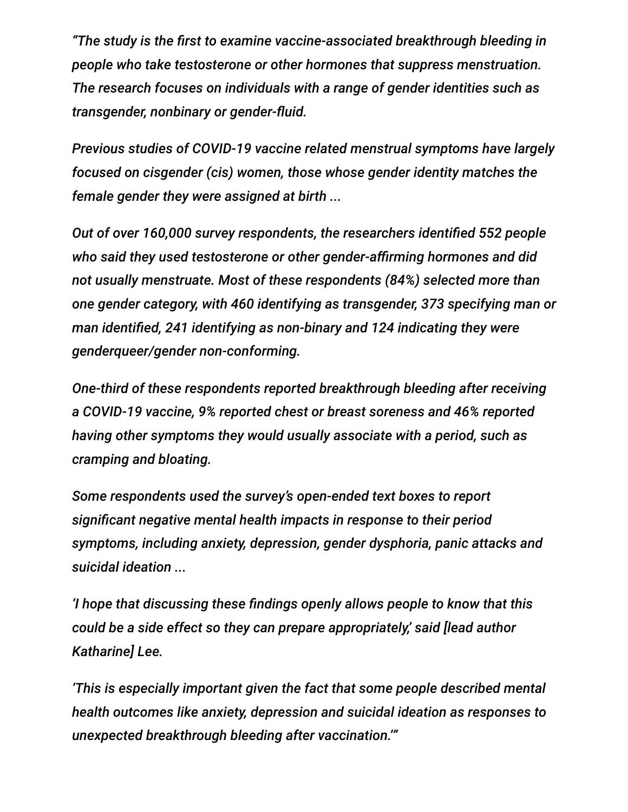*"The study is the first to examine vaccine-associated breakthrough bleeding in people who take testosterone or other hormones that suppress menstruation. The research focuses on individuals with a range of gender identities such as transgender, nonbinary or gender-fluid.*

*Previous studies of COVID-19 vaccine related menstrual symptoms have largely focused on cisgender (cis) women, those whose gender identity matches the female gender they were assigned at birth ...*

*Out of over 160,000 survey respondents, the researchers identified 552 people who said they used testosterone or other gender-affirming hormones and did not usually menstruate. Most of these respondents (84%) selected more than one gender category, with 460 identifying as transgender, 373 specifying man or man identified, 241 identifying as non-binary and 124 indicating they were genderqueer/gender non-conforming.*

*One-third of these respondents reported breakthrough bleeding after receiving a COVID-19 vaccine, 9% reported chest or breast soreness and 46% reported having other symptoms they would usually associate with a period, such as cramping and bloating.*

*Some respondents used the survey's open-ended text boxes to report significant negative mental health impacts in response to their period symptoms, including anxiety, depression, gender dysphoria, panic attacks and suicidal ideation ...*

*'I hope that discussing these findings openly allows people to know that this could be a side effect so they can prepare appropriately,' said [lead author Katharine] Lee.*

*'This is especially important given the fact that some people described mental health outcomes like anxiety, depression and suicidal ideation as responses to unexpected breakthrough bleeding after vaccination.'"*